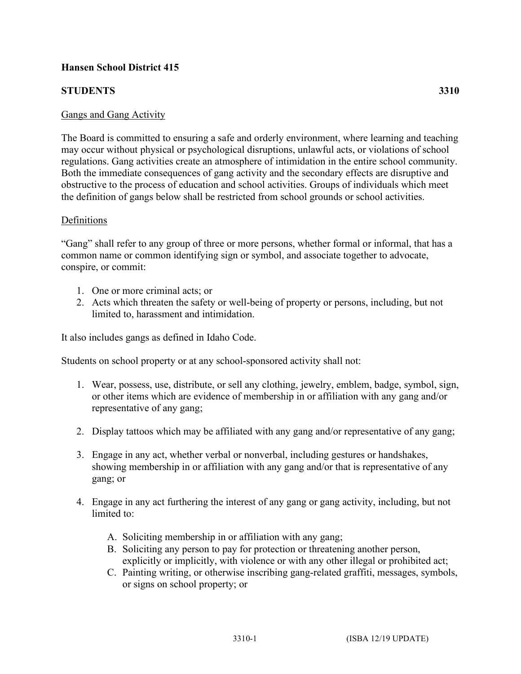## **Hansen School District 415**

## **STUDENTS 3310**

The Board is committed to ensuring a safe and orderly environment, where learning and teaching may occur without physical or psychological disruptions, unlawful acts, or violations of school regulations. Gang activities create an atmosphere of intimidation in the entire school community. Both the immediate consequences of gang activity and the secondary effects are disruptive and obstructive to the process of education and school activities. Groups of individuals which meet the definition of gangs below shall be restricted from school grounds or school activities.

## Definitions

"Gang" shall refer to any group of three or more persons, whether formal or informal, that has a common name or common identifying sign or symbol, and associate together to advocate, conspire, or commit:

- 1. One or more criminal acts; or
- 2. Acts which threaten the safety or well-being of property or persons, including, but not limited to, harassment and intimidation.

It also includes gangs as defined in Idaho Code.

Students on school property or at any school-sponsored activity shall not:

- 1. Wear, possess, use, distribute, or sell any clothing, jewelry, emblem, badge, symbol, sign, or other items which are evidence of membership in or affiliation with any gang and/or representative of any gang;
- 2. Display tattoos which may be affiliated with any gang and/or representative of any gang;
- 3. Engage in any act, whether verbal or nonverbal, including gestures or handshakes, showing membership in or affiliation with any gang and/or that is representative of any gang; or
- 4. Engage in any act furthering the interest of any gang or gang activity, including, but not limited to:
	- A. Soliciting membership in or affiliation with any gang;
	- B. Soliciting any person to pay for protection or threatening another person, explicitly or implicitly, with violence or with any other illegal or prohibited act;
	- C. Painting writing, or otherwise inscribing gang-related graffiti, messages, symbols, or signs on school property; or